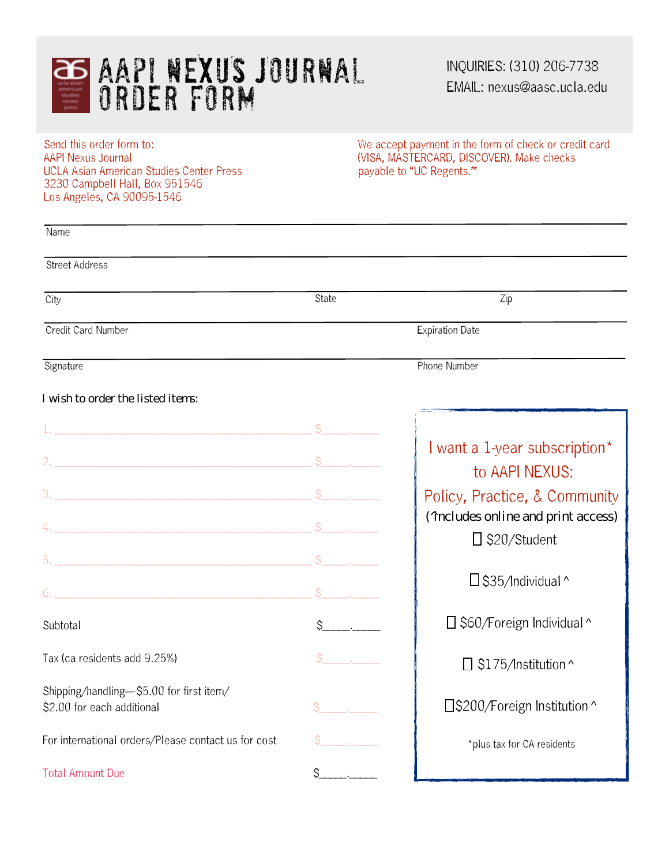

INQUIRIES: (310) 206-7738 EMAIL: nexus@aasc.ucla.edu

UCLA Asian American Studies Center Press. 3230 Campbell Hall, Box 951546 Los Angeles, CA 90095-1546

Send this order form to: Send this order form to: We accept payment in the form of check or credit card AAPI Nexus Journal (VISA, MASTERCARD, DISCOVER). Make checks (VISA, MASTERCARD, DISCOVER). Make checks<br>payable to "UC Regents."

| Name                                                |              |                                                            |
|-----------------------------------------------------|--------------|------------------------------------------------------------|
| Street Address                                      |              |                                                            |
| City                                                | State        | Zip                                                        |
| Credit Card Number                                  |              | <b>Expiration Date</b>                                     |
| Signature                                           |              | <b>Phone Number</b>                                        |
| I wish to order the listed items:                   |              |                                                            |
|                                                     |              |                                                            |
|                                                     |              | I want a 1-year subscription*<br>to AAPI NEXUS:            |
|                                                     |              | Policy, Practice, & Community                              |
|                                                     |              | ('includes online and print access)<br>$\Box$ \$20/Student |
|                                                     |              |                                                            |
|                                                     |              | $\Box$ \$35/Individual ^                                   |
| Subtotal                                            | $S \qquad .$ | □ \$60/Foreign Individual ^                                |
| Tax (ca residents add 9.25%)                        |              | $\Box$ \$175/Institution ^                                 |
| Shipping/handling-\$5.00 for first item/            |              |                                                            |
| \$2.00 for each additional                          |              | □ \$200/Foreign Institution ^                              |
| For international orders/Please contact us for cost |              | *plus tax for CA residents                                 |
| <b>Total Amount Due</b>                             | \$_          |                                                            |